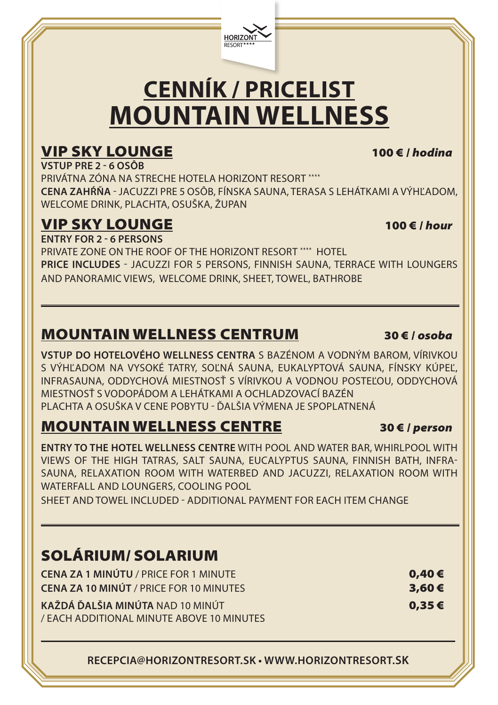

# **CENNÍK / PRICELIST MOUNTAIN WELLNESS**

#### VIP SKY LOUNGE 100 € / *hodina*

**VSTUP PRE 2 - 6 OSÔB** PRIVÁTNA ZÓNA NA STRECHE HOTELA HORIZONT RESORT \*\*\*\* **CENA ZAHŔŇA** - JACUZZI PRE 5 OSÔB, FÍNSKA SAUNA, TERASA S LEHÁTKAMI A VÝHĽADOM, WELCOME DRINK, PLACHTA, OSUŠKA, ŽUPAN

## VIP SKY LOUNGE 100 € / *hour*

**ENTRY FOR 2 - 6 PERSONS**

PRIVATE ZONE ON THE ROOF OF THE HORIZONT RESORT \*\*\*\* HOTEL **PRICE INCLUDES** - JACUZZI FOR 5 PERSONS, FINNISH SAUNA, TERRACE WITH LOUNGERS AND PANORAMIC VIEWS, WELCOME DRINK, SHEET, TOWEL, BATHROBE

### MOUNTAIN WELLNESS CENTRUM 30 € / *osoba*

**VSTUP DO HOTELOVÉHO WELLNESS CENTRA** S BAZÉNOM A VODNÝM BAROM, VÍRIVKOU S VÝHĽADOM NA VYSOKÉ TATRY, SOĽNÁ SAUNA, EUKALYPTOVÁ SAUNA, FÍNSKY KÚPEĽ, INFRASAUNA, ODDYCHOVÁ MIESTNOSŤ S VÍRIVKOU A VODNOU POSTEĽOU, ODDYCHOVÁ MIESTNOSŤ S VODOPÁDOM A LEHÁTKAMI A OCHLADZOVACÍ BAZÉN PLACHTA A OSUŠKA V CENE POBYTU - ĎALŠIA VÝMENA JE SPOPLATNENÁ

## MOUNTAIN WELLNESS CENTRE 30 € / *person*

**ENTRY TO THE HOTEL WELLNESS CENTRE** WITH POOL AND WATER BAR, WHIRLPOOL WITH VIEWS OF THE HIGH TATRAS, SALT SAUNA, EUCALYPTUS SAUNA, FINNISH BATH, INFRA-SAUNA, RELAXATION ROOM WITH WATERBED AND JACUZZI, RELAXATION ROOM WITH WATERFALL AND LOUNGERS, COOLING POOL SHEET AND TOWEL INCLUDED - ADDITIONAL PAYMENT FOR EACH ITEM CHANGE

#### SOLÁRIUM/ SOLARIUM

| <b>CENA ZA 1 MINÚTU / PRICE FOR 1 MINUTE</b>   | 0,40€ |
|------------------------------------------------|-------|
| <b>CENA ZA 10 MINÚT / PRICE FOR 10 MINUTES</b> | 3,60€ |
| KAŽDÁ ĎALŠIA MINÚTA NAD 10 MINÚT               | 0,35€ |
| / EACH ADDITIONAL MINUTE ABOVE 10 MINUTES      |       |

**RECEPCIA@HORIZONTRESORT.SK • WWW.HORIZONTRESORT.SK**